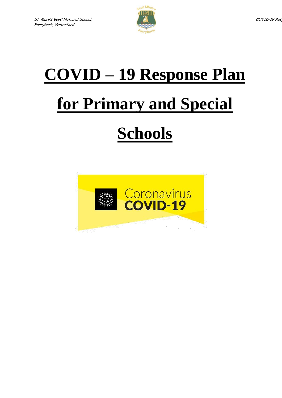

# **COVID – 19 Response Plan**

# **for Primary and Special**

# **Schools**

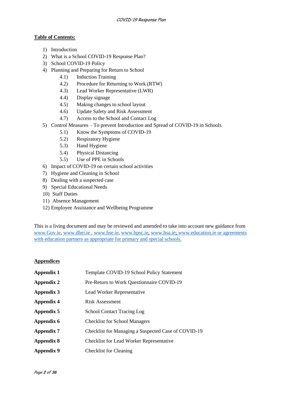### **Table of Contents:**

- 1) Introduction
- 2) What is a School COVID-19 Response Plan?
- 3) School COVID-19 Policy
- 4) Planning and Preparing for Return to School
	- 4.1) Induction Training
	- 4.2) Procedure for Returning to Work (RTW)
	- 4.3) Lead Worker Representative (LWR)
	- 4.4) Display signage
	- 4.5) Making changes to school layout
	- 4.6) Update Safety and Risk Assessment
	- 4.7) Access to the School and Contact Log
- 5) Control Measures To prevent Introduction and Spread of COVID-19 in Schools
	- 5.1) Know the Symptoms of COVID-19
	- 5.2) Respiratory Hygiene
	- 5.3) Hand Hygiene
	- 5.4) Physical Distancing
	- 5.5) Use of PPE in Schools
- 6) Impact of COVID-19 on certain school activities
- 7) Hygiene and Cleaning in School
- 8) Dealing with a suspected case
- 9) Special Educational Needs
- 10) Staff Duties
- 11) Absence Management
- 12) Employee Assistance and Wellbeing Programme

This is a living document and may be reviewed and amended to take into account new guidance from [www.Gov.ie,](http://www.gov.ie/) [www.dbei.ie](http://www.dbei.ie/) , [www.hse.ie,](http://www.hse.ie/) [www.hpsc.ie,](http://www.hpsc.ie/) [www.hsa.ie;](http://www.hsa.ie/) [www.education.ie](http://www.education.ie/) or agreements with education partners as appropriate for primary and special schools.

#### **Appendices**

| Appendix 1 | Template COVID-19 School Policy Statement           |
|------------|-----------------------------------------------------|
| Appendix 2 | Pre-Return to Work Questionnaire COVID-19           |
| Appendix 3 | Lead Worker Representative                          |
| Appendix 4 | <b>Risk Assessment</b>                              |
| Appendix 5 | <b>School Contact Tracing Log</b>                   |
| Appendix 6 | <b>Checklist for School Managers</b>                |
| Appendix 7 | Checklist for Managing a Suspected Case of COVID-19 |
| Appendix 8 | <b>Checklist for Lead Worker Representative</b>     |
| Appendix 9 | <b>Checklist for Cleaning</b>                       |
|            |                                                     |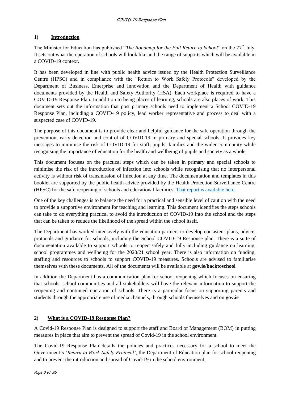# **1) Introduction**

The Minister for Education has published "*The Roadmap for the Full Return to School*" on the 27<sup>th</sup> July. It sets out what the operation of schools will look like and the range of supports which will be available in a COVID-19 context.

It has been developed in line with public health advice issued by the Health Protection Surveillance Centre (HPSC) and in compliance with the "Return to Work Safely Protocols" developed by the Department of Business, Enterprise and Innovation and the Department of Health with guidance documents provided by the Health and Safety Authority (HSA). Each workplace is required to have a COVID-19 Response Plan. In addition to being places of learning, schools are also places of work. This document sets out the information that post primary schools need to implement a School COVID-19 Response Plan, including a COVID-19 policy, lead worker representative and process to deal with a suspected case of COVID-19.

The purpose of this document is to provide clear and helpful guidance for the safe operation through the prevention, early detection and control of COVID-19 in primary and special schools. It provides key messages to minimise the risk of COVID-19 for staff, pupils, families and the wider community while recognising the importance of education for the health and wellbeing of pupils and society as a whole.

This document focuses on the practical steps which can be taken in primary and special schools to minimise the risk of the introduction of infection into schools while recognising that no interpersonal activity is without risk of transmission of infection at any time. The documentation and templates in this booklet are supported by the public health advice provided by the Health Protection Surveillance Centre (HPSC) for the safe reopening of schools and educational facilities. [That report is available here.](https://assets.gov.ie/78748/8796d60e-790e-4007-add1-de18e509a3c1.pdf)

One of the key challenges is to balance the need for a practical and sensible level of caution with the need to provide a supportive environment for teaching and learning. This document identifies the steps schools can take to do everything practical to avoid the introduction of COVID-19 into the school and the steps that can be taken to reduce the likelihood of the spread within the school itself.

The Department has worked intensively with the education partners to develop consistent plans, advice, protocols and guidance for schools, including the School COVID-19 Response plan. There is a suite of documentation available to support schools to reopen safely and fully including guidance on learning, school programmes and wellbeing for the 2020/21 school year. There is also information on funding, staffing and resources to schools to support COVID-19 measures. Schools are advised to familiarise themselves with these documents. All of the documents will be available at **gov.ie/backtoschool**

In addition the Department has a communication plan for school reopening which focuses on ensuring that schools, school communities and all stakeholders will have the relevant information to support the reopening and continued operation of schools. There is a particular focus on supporting parents and students through the appropriate use of media channels, through schools themselves and on **gov.ie**

# **2) What is a COVID-19 Response Plan?**

A Covid-19 Response Plan is designed to support the staff and Board of Management (BOM) in putting measures in place that aim to prevent the spread of Covid-19 in the school environment.

The Covid-19 Response Plan details the policies and practices necessary for a school to meet the Government's '*Return to Work Safely Protocol'*, the Department of Education plan for school reopening and to prevent the introduction and spread of Covid-19 in the school environment.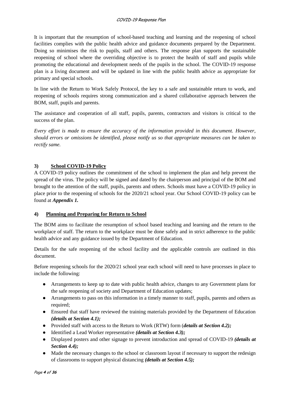It is important that the resumption of school-based teaching and learning and the reopening of school facilities complies with the public health advice and guidance documents prepared by the Department. Doing so minimises the risk to pupils, staff and others. The response plan supports the sustainable reopening of school where the overriding objective is to protect the health of staff and pupils while promoting the educational and development needs of the pupils in the school. The COVID-19 response plan is a living document and will be updated in line with the public health advice as appropriate for primary and special schools.

In line with the Return to Work Safely Protocol, the key to a safe and sustainable return to work, and reopening of schools requires strong communication and a shared collaborative approach between the BOM, staff, pupils and parents.

The assistance and cooperation of all staff, pupils, parents, contractors and visitors is critical to the success of the plan.

*Every effort is made to ensure the accuracy of the information provided in this document. However, should errors or omissions be identified, please notify us so that appropriate measures can be taken to rectify same.*

# **3) School COVID-19 Policy**

A COVID-19 policy outlines the commitment of the school to implement the plan and help prevent the spread of the virus. The policy will be signed and dated by the chairperson and principal of the BOM and brought to the attention of the staff, pupils, parents and others. Schools must have a COVID-19 policy in place prior to the reopening of schools for the 2020/21 school year. Our School COVID-19 policy can be found at *Appendix 1.*

# **4) Planning and Preparing for Return to School**

The BOM aims to facilitate the resumption of school based teaching and learning and the return to the workplace of staff. The return to the workplace must be done safely and in strict adherence to the public health advice and any guidance issued by the Department of Education.

Details for the safe reopening of the school facility and the applicable controls are outlined in this document.

Before reopening schools for the 2020/21 school year each school will need to have processes in place to include the following:

- Arrangements to keep up to date with public health advice, changes to any Government plans for the safe reopening of society and Department of Education updates;
- Arrangements to pass on this information in a timely manner to staff, pupils, parents and others as required;
- Ensured that staff have reviewed the training materials provided by the Department of Education *(details at Section 4.1);*
- Provided staff with access to the Return to Work (RTW) form (*details at Section 4.2);*
- Identified a Lead Worker representative *(details at Section 4.3);*
- Displayed posters and other signage to prevent introduction and spread of COVID-19 *(details at Section 4.4);*
- Made the necessary changes to the school or classroom layout if necessary to support the redesign of classrooms to support physical distancing *(details at Section 4.5);*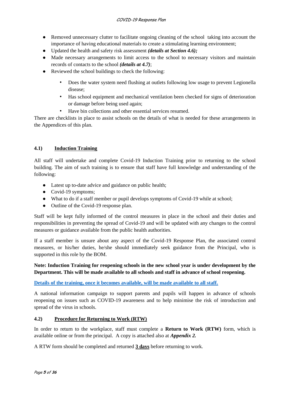- Removed unnecessary clutter to facilitate ongoing cleaning of the school taking into account the importance of having educational materials to create a stimulating learning environment;
- Updated the health and safety risk assessment *(details at Section 4.6);*
- Made necessary arrangements to limit access to the school to necessary visitors and maintain records of contacts to the school *(details at 4.7)*;
- Reviewed the school buildings to check the following:
	- Does the water system need flushing at outlets following low usage to prevent Legionella disease;
	- Has school equipment and mechanical ventilation been checked for signs of deterioration or damage before being used again;
	- Have bin collections and other essential services resumed.

There are checklists in place to assist schools on the details of what is needed for these arrangements in the Appendices of this plan.

# **4.1) Induction Training**

All staff will undertake and complete Covid-19 Induction Training prior to returning to the school building. The aim of such training is to ensure that staff have full knowledge and understanding of the following:

- Latest up to-date advice and guidance on public health;
- Covid-19 symptoms;
- What to do if a staff member or pupil develops symptoms of Covid-19 while at school;
- Outline of the Covid-19 response plan.

Staff will be kept fully informed of the control measures in place in the school and their duties and responsibilities in preventing the spread of Covid-19 and will be updated with any changes to the control measures or guidance available from the public health authorities.

If a staff member is unsure about any aspect of the Covid-19 Response Plan, the associated control measures, or his/her duties, he/she should immediately seek guidance from the Principal, who is supported in this role by the BOM.

# **Note: Induction Training for reopening schools in the new school year is under development by the Department. This will be made available to all schools and staff in advance of school reopening.**

**[Details of the training, once it becomes available, will be made available to all staff.](https://www.gov.ie/en/publication/dd7fb-induction-training-for-reopening-schools/)**

A national information campaign to support parents and pupils will happen in advance of schools reopening on issues such as COVID-19 awareness and to help minimise the risk of introduction and spread of the virus in schools.

# **4.2) Procedure for Returning to Work (RTW)**

In order to return to the workplace, staff must complete a **Return to Work (RTW)** form, which is available online or from the principal. A copy is attached also at *Appendix 2.*

A RTW form should be completed and returned **3 days** before returning to work.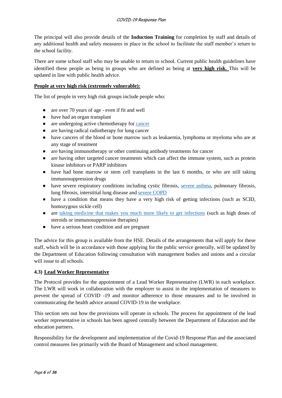The principal will also provide details of the **Induction Training** for completion by staff and details of any additional health and safety measures in place in the school to facilitate the staff member's return to the school facility.

There are some school staff who may be unable to return to school. Current public health guidelines have identified these people as being in groups who are defined as being at **very high risk.** This will be updated in line with public health advice.

# **[People at very high risk \(extremely vulnerable\):](https://www2.hse.ie/conditions/coronavirus/people-at-higher-risk.html)**

The list of people in very high risk groups include people who:

- are over 70 years of age even if fit and well
- have had an organ transplant
- are undergoing active chemotherapy fo[r cancer](https://www2.hse.ie/conditions/coronavirus/cancer-patients.html)
- are having radical radiotherapy for lung cancer
- have cancers of the blood or bone marrow such as leukaemia, lymphoma or myeloma who are at any stage of treatment
- are having immunotherapy or other continuing antibody treatments for cancer
- are having other targeted cancer treatments which can affect the immune system, such as protein kinase inhibitors or PARP inhibitors
- have had bone marrow or stem cell transplants in the last 6 months, or who are still taking immunosuppression drugs
- have severe respiratory conditions including cystic fibrosis, [severe asthma,](https://www2.hse.ie/conditions/coronavirus/asthma.html) pulmonary fibrosis, lung fibrosis, interstitial lung disease and [severe COPD](https://www2.hse.ie/conditions/coronavirus/copd.html)
- have a condition that means they have a very high risk of getting infections (such as SCID, homozygous sickle cell)
- are [taking medicine that makes you much more likely to get infections](https://www2.hse.ie/conditions/coronavirus/weak-immune-system.html) (such as high doses of steroids or immunosuppression therapies)
- have a serious heart condition and are pregnant

The advice for this group is available from the HSE. Details of the arrangements that will apply for these staff, which will be in accordance with those applying for the public service generally, will be updated by the Department of Education following consultation with management bodies and unions and a circular will issue to all schools.

#### **4.3) Lead Worker Representative**

The Protocol provides for the appointment of a Lead Worker Representative (LWR) in each workplace. The LWR will work in collaboration with the employer to assist in the implementation of measures to prevent the spread of COVID -19 and monitor adherence to those measures and to be involved in communicating the health advice around COVID-19 in the workplace.

This section sets out how the provisions will operate in schools. The process for appointment of the lead worker representative in schools has been agreed centrally between the Department of Education and the education partners.

Responsibility for the development and implementation of the Covid-19 Response Plan and the associated control measures lies primarily with the Board of Management and school management.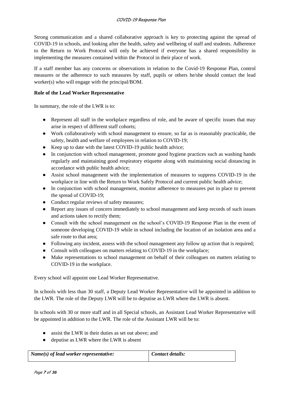Strong communication and a shared collaborative approach is key to protecting against the spread of COVID-19 in schools, and looking after the health, safety and wellbeing of staff and students. Adherence to the Return to Work Protocol will only be achieved if everyone has a shared responsibility in implementing the measures contained within the Protocol in their place of work.

If a staff member has any concerns or observations in relation to the Covid-19 Response Plan, control measures or the adherence to such measures by staff, pupils or others he/she should contact the lead worker(s) who will engage with the principal/BOM.

#### **Role of the Lead Worker Representative**

In summary, the role of the LWR is to:

- Represent all staff in the workplace regardless of role, and be aware of specific issues that may arise in respect of different staff cohorts;
- Work collaboratively with school management to ensure, so far as is reasonably practicable, the safety, health and welfare of employees in relation to COVID-19;
- Keep up to date with the latest COVID-19 public health advice;
- In conjunction with school management, promote good hygiene practices such as washing hands regularly and maintaining good respiratory etiquette along with maintaining social distancing in accordance with public health advice;
- Assist school management with the implementation of measures to suppress COVID-19 in the workplace in line with the Return to Work Safely Protocol and current public health advice;
- In conjunction with school management, monitor adherence to measures put in place to prevent the spread of COVID-19;
- Conduct regular reviews of safety measures;
- Report any issues of concern immediately to school management and keep records of such issues and actions taken to rectify them;
- Consult with the school management on the school's COVID-19 Response Plan in the event of someone developing COVID-19 while in school including the location of an isolation area and a safe route to that area;
- Following any incident, assess with the school management any follow up action that is required;
- Consult with colleagues on matters relating to COVID-19 in the workplace;
- Make representations to school management on behalf of their colleagues on matters relating to COVID-19 in the workplace.

Every school will appoint one Lead Worker Representative.

In schools with less than 30 staff, a Deputy Lead Worker Representative will be appointed in addition to the LWR. The role of the Deputy LWR will be to deputise as LWR where the LWR is absent.

In schools with 30 or more staff and in all Special schools, an Assistant Lead Worker Representative will be appointed in addition to the LWR. The role of the Assistant LWR will be to:

- assist the LWR in their duties as set out above; and
- deputise as LWR where the LWR is absent

| $Name(s)$ of lead worker representative: | $\blacksquare$ Contact details: |
|------------------------------------------|---------------------------------|
|                                          |                                 |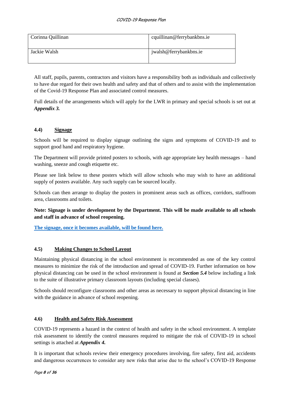| Corinna Quillinan | cquillinan@ferrybankbns.ie |
|-------------------|----------------------------|
| Jackie Walsh      | jwalsh@ferrybankbns.ie     |

All staff, pupils, parents, contractors and visitors have a responsibility both as individuals and collectively to have due regard for their own health and safety and that of others and to assist with the implementation of the Covid-19 Response Plan and associated control measures.

Full details of the arrangements which will apply for the LWR in primary and special schools is set out at *Appendix 3.*

# **4.4) Signage**

Schools will be required to display signage outlining the signs and symptoms of COVID-19 and to support good hand and respiratory hygiene.

The Department will provide printed posters to schools, with age appropriate key health messages – hand washing, sneeze and cough etiquette etc.

Please see link below to these posters which will allow schools who may wish to have an additional supply of posters available. Any such supply can be sourced locally.

Schools can then arrange to display the posters in prominent areas such as offices, corridors, staffroom area, classrooms and toilets.

**Note: Signage is under development by the Department. This will be made available to all schools and staff in advance of school reopening.** 

**[The signage, once it becomes available, will be found here.](https://www.gov.ie/en/publication/2da43-signage-for-reopening-of-schools/)**

# **4.5) Making Changes to School Layout**

Maintaining physical distancing in the school environment is recommended as one of the key control measures to minimize the risk of the introduction and spread of COVID-19. Further information on how physical distancing can be used in the school environment is found at *Section 5.4* below including a link to the suite of illustrative primary classroom layouts (including special classes).

Schools should reconfigure classrooms and other areas as necessary to support physical distancing in line with the guidance in advance of school reopening.

# **4.6) Health and Safety Risk Assessment**

COVID-19 represents a hazard in the context of health and safety in the school environment. A template risk assessment to identify the control measures required to mitigate the risk of COVID-19 in school settings is attached at *Appendix 4.*

It is important that schools review their emergency procedures involving, fire safety, first aid, accidents and dangerous occurrences to consider any new risks that arise due to the school's COVID-19 Response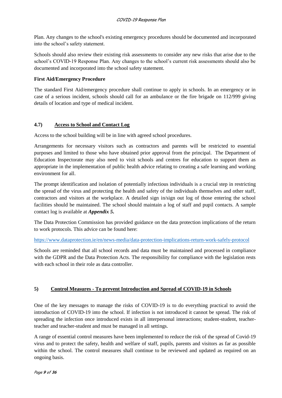Plan. Any changes to the school's existing emergency procedures should be documented and incorporated into the school's safety statement.

Schools should also review their existing risk assessments to consider any new risks that arise due to the school's COVID-19 Response Plan. Any changes to the school's current risk assessments should also be documented and incorporated into the school safety statement.

# **First Aid/Emergency Procedure**

The standard First Aid/emergency procedure shall continue to apply in schools. In an emergency or in case of a serious incident, schools should call for an ambulance or the fire brigade on 112/999 giving details of location and type of medical incident.

# **4.7) Access to School and Contact Log**

Access to the school building will be in line with agreed school procedures.

Arrangements for necessary visitors such as contractors and parents will be restricted to essential purposes and limited to those who have obtained prior approval from the principal. The Department of Education Inspectorate may also need to visit schools and centres for education to support them as appropriate in the implementation of public health advice relating to creating a safe learning and working environment for all.

The prompt identification and isolation of potentially infectious individuals is a crucial step in restricting the spread of the virus and protecting the health and safety of the individuals themselves and other staff, contractors and visitors at the workplace. A detailed sign in/sign out log of those entering the school facilities should be maintained. The school should maintain a log of staff and pupil contacts. A sample contact log is available at *Appendix 5***.** 

The Data Protection Commission has provided guidance on the data protection implications of the return to work protocols. This advice can be found here:

# <https://www.dataprotection.ie/en/news-media/data-protection-implications-return-work-safely-protocol>

Schools are reminded that all school records and data must be maintained and processed in compliance with the GDPR and the Data Protection Acts. The responsibility for compliance with the legislation rests with each school in their role as data controller.

# **5) Control Measures - To prevent Introduction and Spread of COVID-19 in Schools**

One of the key messages to manage the risks of COVID-19 is to do everything practical to avoid the introduction of COVID-19 into the school. If infection is not introduced it cannot be spread. The risk of spreading the infection once introduced exists in all interpersonal interactions; student-student, teacherteacher and teacher-student and must be managed in all settings.

A range of essential control measures have been implemented to reduce the risk of the spread of Covid-19 virus and to protect the safety, health and welfare of staff, pupils, parents and visitors as far as possible within the school. The control measures shall continue to be reviewed and updated as required on an ongoing basis.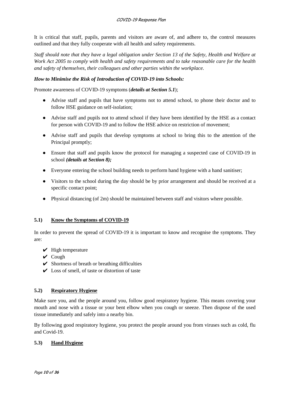It is critical that staff, pupils, parents and visitors are aware of, and adhere to, the control measures outlined and that they fully cooperate with all health and safety requirements.

*Staff should note that they have a legal obligation under Section 13 of the Safety, Health and Welfare at Work Act 2005 to comply with health and safety requirements and to take reasonable care for the health and safety of themselves, their colleagues and other parties within the workplace.* 

# *How to Minimise the Risk of Introduction of COVID-19 into Schools:*

Promote awareness of COVID-19 symptoms (*details at Section 5.1*);

- Advise staff and pupils that have symptoms not to attend school, to phone their doctor and to follow HSE guidance on self-isolation;
- Advise staff and pupils not to attend school if they have been identified by the HSE as a contact for person with COVID-19 and to follow the HSE advice on restriction of movement;
- Advise staff and pupils that develop symptoms at school to bring this to the attention of the Principal promptly;
- Ensure that staff and pupils know the protocol for managing a suspected case of COVID-19 in school *(details at Section 8);*
- Everyone entering the school building needs to perform hand hygiene with a hand sanitiser;
- Visitors to the school during the day should be by prior arrangement and should be received at a specific contact point;
- Physical distancing (of 2m) should be maintained between staff and visitors where possible.

#### **5.1) Know the Symptoms of COVID-19**

In order to prevent the spread of COVID-19 it is important to know and recognise the symptoms. They are:

- $\vee$  High temperature
- $\vee$  Cough
- $\triangleright$  Shortness of breath or breathing difficulties
- $\vee$  Loss of smell, of taste or distortion of taste

#### **5.2) Respiratory Hygiene**

Make sure you, and the people around you, follow good respiratory hygiene. This means covering your mouth and nose with a tissue or your bent elbow when you cough or sneeze. Then dispose of the used tissue immediately and safely into a nearby bin.

By following good respiratory hygiene, you protect the people around you from viruses such as cold, flu and Covid-19.

# **5.3) Hand Hygiene**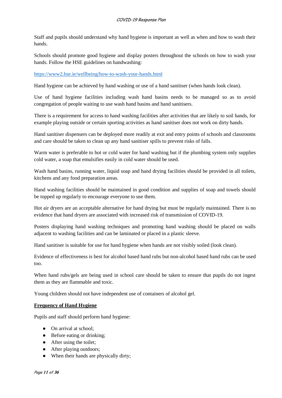Staff and pupils should understand why hand hygiene is important as well as when and how to wash their hands.

Schools should promote good hygiene and display posters throughout the schools on how to wash your hands. Follow the HSE guidelines on handwashing:

<https://www2.hse.ie/wellbeing/how-to-wash-your-hands.html>

Hand hygiene can be achieved by hand washing or use of a hand sanitiser (when hands look clean).

Use of hand hygiene facilities including wash hand basins needs to be managed so as to avoid congregation of people waiting to use wash hand basins and hand sanitisers.

There is a requirement for access to hand washing facilities after activities that are likely to soil hands, for example playing outside or certain sporting activities as hand sanitiser does not work on dirty hands.

Hand sanitiser dispensers can be deployed more readily at exit and entry points of schools and classrooms and care should be taken to clean up any hand sanitiser spills to prevent risks of falls.

Warm water is preferable to hot or cold water for hand washing but if the plumbing system only supplies cold water, a soap that emulsifies easily in cold water should be used.

Wash hand basins, running water, liquid soap and hand drying facilities should be provided in all toilets, kitchens and any food preparation areas.

Hand washing facilities should be maintained in good condition and supplies of soap and towels should be topped up regularly to encourage everyone to use them.

Hot air dryers are an acceptable alternative for hand drying but must be regularly maintained. There is no evidence that hand dryers are associated with increased risk of transmission of COVID-19.

Posters displaying hand washing techniques and promoting hand washing should be placed on walls adjacent to washing facilities and can be laminated or placed in a plastic sleeve.

Hand sanitiser is suitable for use for hand hygiene when hands are not visibly soiled (look clean).

Evidence of effectiveness is best for alcohol based hand rubs but non-alcohol based hand rubs can be used too.

When hand rubs/gels are being used in school care should be taken to ensure that pupils do not ingest them as they are flammable and toxic.

Young children should not have independent use of containers of alcohol gel.

#### **Frequency of Hand Hygiene**

Pupils and staff should perform hand hygiene:

- On arrival at school;
- Before eating or drinking;
- After using the toilet;
- After playing outdoors;
- When their hands are physically dirty;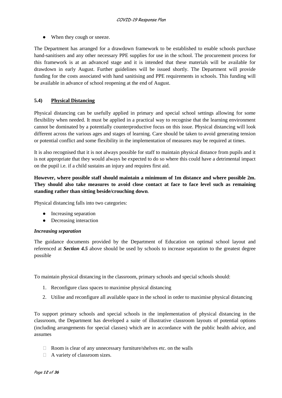• When they cough or sneeze.

The Department has arranged for a drawdown framework to be established to enable schools purchase hand-sanitisers and any other necessary PPE supplies for use in the school. The procurement process for this framework is at an advanced stage and it is intended that these materials will be available for drawdown in early August. Further guidelines will be issued shortly. The Department will provide funding for the costs associated with hand sanitising and PPE requirements in schools. This funding will be available in advance of school reopening at the end of August.

# **5.4) Physical Distancing**

Physical distancing can be usefully applied in primary and special school settings allowing for some flexibility when needed. It must be applied in a practical way to recognise that the learning environment cannot be dominated by a potentially counterproductive focus on this issue. Physical distancing will look different across the various ages and stages of learning. Care should be taken to avoid generating tension or potential conflict and some flexibility in the implementation of measures may be required at times.

It is also recognised that it is not always possible for staff to maintain physical distance from pupils and it is not appropriate that they would always be expected to do so where this could have a detrimental impact on the pupil i.e. if a child sustains an injury and requires first aid.

# **However, where possible staff should maintain a minimum of 1m distance and where possible 2m. They should also take measures to avoid close contact at face to face level such as remaining standing rather than sitting beside/crouching down**.

Physical distancing falls into two categories:

- Increasing separation
- Decreasing interaction

#### *Increasing separation*

The guidance documents provided by the Department of Education on optimal school layout and referenced at *Section 4.5* above should be used by schools to increase separation to the greatest degree possible

To maintain physical distancing in the classroom, primary schools and special schools should:

- 1. Reconfigure class spaces to maximise physical distancing
- 2. Utilise and reconfigure all available space in the school in order to maximise physical distancing

To support primary schools and special schools in the implementation of physical distancing in the classroom, the Department has developed a suite of illustrative classroom layouts of potential options (including arrangements for special classes) which are in accordance with the public health advice, and assumes

- $\Box$  Room is clear of any unnecessary furniture/shelves etc. on the walls
- $\Box$  A variety of classroom sizes.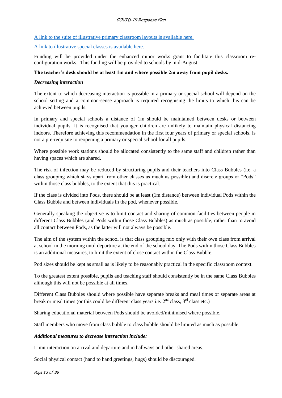#### COVID-19 Response Plan

#### [A link to the suite of illustrative primary classroom layouts is available here.](https://s3-eu-west-1.amazonaws.com/govieassets/82023/7612d390-4a73-4afb-ba06-5d1c41bd5a0a.pdf)

#### [A link to illustrative special classes is available here.](https://s3-eu-west-1.amazonaws.com/govieassets/81948/36874b14-f604-4966-b8c8-bc2954b73bbd.pdf)

Funding will be provided under the enhanced minor works grant to facilitate this classroom reconfiguration works. This funding will be provided to schools by mid-August.

#### **The teacher's desk should be at least 1m and where possible 2m away from pupil desks.**

#### *Decreasing interaction*

The extent to which decreasing interaction is possible in a primary or special school will depend on the school setting and a common-sense approach is required recognising the limits to which this can be achieved between pupils.

In primary and special schools a distance of 1m should be maintained between desks or between individual pupils. It is recognised that younger children are unlikely to maintain physical distancing indoors. Therefore achieving this recommendation in the first four years of primary or special schools, is not a pre-requisite to reopening a primary or special school for all pupils.

Where possible work stations should be allocated consistently to the same staff and children rather than having spaces which are shared.

The risk of infection may be reduced by structuring pupils and their teachers into Class Bubbles (i.e. a class grouping which stays apart from other classes as much as possible) and discrete groups or "Pods" within those class bubbles, to the extent that this is practical.

If the class is divided into Pods, there should be at least (1m distance) between individual Pods within the Class Bubble and between individuals in the pod, whenever possible.

Generally speaking the objective is to limit contact and sharing of common facilities between people in different Class Bubbles (and Pods within those Class Bubbles) as much as possible, rather than to avoid all contact between Pods, as the latter will not always be possible.

The aim of the system within the school is that class grouping mix only with their own class from arrival at school in the morning until departure at the end of the school day. The Pods within those Class Bubbles is an additional measures, to limit the extent of close contact within the Class Bubble.

Pod sizes should be kept as small as is likely to be reasonably practical in the specific classroom context.

To the greatest extent possible, pupils and teaching staff should consistently be in the same Class Bubbles although this will not be possible at all times.

Different Class Bubbles should where possible have separate breaks and meal times or separate areas at break or meal times (or this could be different class years i.e.  $2<sup>nd</sup>$  class,  $3<sup>rd</sup>$  class etc.)

Sharing educational material between Pods should be avoided/minimised where possible.

Staff members who move from class bubble to class bubble should be limited as much as possible.

# *Additional measures to decrease interaction include:*

Limit interaction on arrival and departure and in hallways and other shared areas.

Social physical contact (hand to hand greetings, hugs) should be discouraged.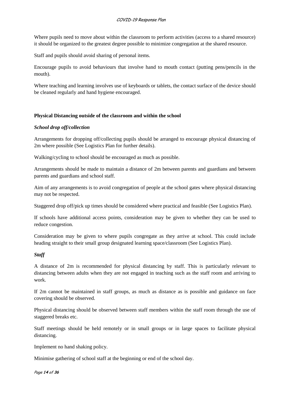Where pupils need to move about within the classroom to perform activities (access to a shared resource) it should be organized to the greatest degree possible to minimize congregation at the shared resource.

Staff and pupils should avoid sharing of personal items.

Encourage pupils to avoid behaviours that involve hand to mouth contact (putting pens/pencils in the mouth).

Where teaching and learning involves use of keyboards or tablets, the contact surface of the device should be cleaned regularly and hand hygiene encouraged.

#### **Physical Distancing outside of the classroom and within the school**

#### *School drop off/collection*

Arrangements for dropping off/collecting pupils should be arranged to encourage physical distancing of 2m where possible (See Logistics Plan for further details).

Walking/cycling to school should be encouraged as much as possible.

Arrangements should be made to maintain a distance of 2m between parents and guardians and between parents and guardians and school staff.

Aim of any arrangements is to avoid congregation of people at the school gates where physical distancing may not be respected.

Staggered drop off/pick up times should be considered where practical and feasible (See Logistics Plan).

If schools have additional access points, consideration may be given to whether they can be used to reduce congestion.

Consideration may be given to where pupils congregate as they arrive at school. This could include heading straight to their small group designated learning space/classroom (See Logistics Plan).

#### *Staff*

A distance of 2m is recommended for physical distancing by staff. This is particularly relevant to distancing between adults when they are not engaged in teaching such as the staff room and arriving to work.

If 2m cannot be maintained in staff groups, as much as distance as is possible and guidance on face covering should be observed.

Physical distancing should be observed between staff members within the staff room through the use of staggered breaks etc.

Staff meetings should be held remotely or in small groups or in large spaces to facilitate physical distancing.

Implement no hand shaking policy.

Minimise gathering of school staff at the beginning or end of the school day.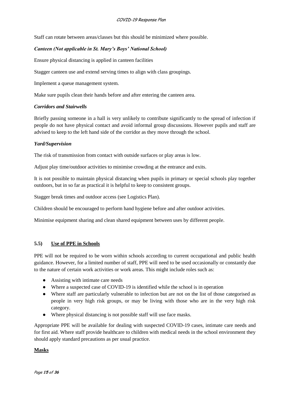Staff can rotate between areas/classes but this should be minimized where possible.

# *Canteen (Not applicable in St. Mary's Boys' National School)*

Ensure physical distancing is applied in canteen facilities

Stagger canteen use and extend serving times to align with class groupings.

Implement a queue management system.

Make sure pupils clean their hands before and after entering the canteen area.

#### *Corridors and Stairwells*

Briefly passing someone in a hall is very unlikely to contribute significantly to the spread of infection if people do not have physical contact and avoid informal group discussions. However pupils and staff are advised to keep to the left hand side of the corridor as they move through the school.

#### *Yard/Supervision*

The risk of transmission from contact with outside surfaces or play areas is low.

Adjust play time/outdoor activities to minimise crowding at the entrance and exits.

It is not possible to maintain physical distancing when pupils in primary or special schools play together outdoors, but in so far as practical it is helpful to keep to consistent groups.

Stagger break times and outdoor access (see Logistics Plan).

Children should be encouraged to perform hand hygiene before and after outdoor activities.

Minimise equipment sharing and clean shared equipment between uses by different people.

# **5.5) Use of PPE in Schools**

PPE will not be required to be worn within schools according to current occupational and public health guidance. However, for a limited number of staff, PPE will need to be used occasionally or constantly due to the nature of certain work activities or work areas. This might include roles such as:

- Assisting with intimate care needs
- Where a suspected case of COVID-19 is identified while the school is in operation
- Where staff are particularly vulnerable to infection but are not on the list of those categorised as people in very high risk groups, or may be living with those who are in the very high risk category.
- Where physical distancing is not possible staff will use face masks.

Appropriate PPE will be available for dealing with suspected COVID-19 cases, intimate care needs and for first aid. Where staff provide healthcare to children with medical needs in the school environment they should apply standard precautions as per usual practice.

#### **Masks**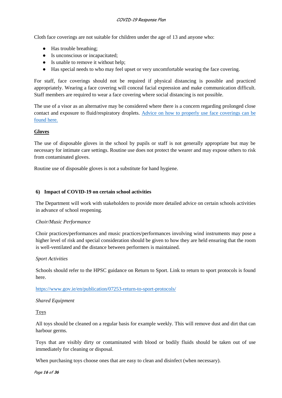#### COVID-19 Response Plan

Cloth face coverings are not suitable for children under the age of 13 and anyone who:

- Has trouble breathing;
- Is unconscious or incapacitated;
- Is unable to remove it without help;
- Has special needs to who may feel upset or very uncomfortable wearing the face covering.

For staff, face coverings should not be required if physical distancing is possible and practiced appropriately. Wearing a face covering will conceal facial expression and make communication difficult. Staff members are required to wear a face covering where social distancing is not possible.

The use of a visor as an alternative may be considered where there is a concern regarding prolonged close contact and exposure to fluid/respiratory droplets. [Advice on how to properly use face coverings can be](https://www.gov.ie/en/publication/aac74c-guidance-on-safe-use-of-face-coverings/?referrer=http://www.gov.ie/facecoverings/)  [found here.](https://www.gov.ie/en/publication/aac74c-guidance-on-safe-use-of-face-coverings/?referrer=http://www.gov.ie/facecoverings/)

#### **Gloves**

The use of disposable gloves in the school by pupils or staff is not generally appropriate but may be necessary for intimate care settings. Routine use does not protect the wearer and may expose others to risk from contaminated gloves.

Routine use of disposable gloves is not a substitute for hand hygiene.

#### **6) Impact of COVID-19 on certain school activities**

The Department will work with stakeholders to provide more detailed advice on certain schools activities in advance of school reopening.

#### *Choir/Music Performance*

Choir practices/performances and music practices/performances involving wind instruments may pose a higher level of risk and special consideration should be given to how they are held ensuring that the room is well-ventilated and the distance between performers is maintained.

#### *Sport Activities*

Schools should refer to the HPSC guidance on Return to Sport. Link to return to sport protocols is found here.

#### <https://www.gov.ie/en/publication/07253-return-to-sport-protocols/>

#### *Shared Equipment*

Toys

All toys should be cleaned on a regular basis for example weekly. This will remove dust and dirt that can harbour germs.

Toys that are visibly dirty or contaminated with blood or bodily fluids should be taken out of use immediately for cleaning or disposal.

When purchasing toys choose ones that are easy to clean and disinfect (when necessary).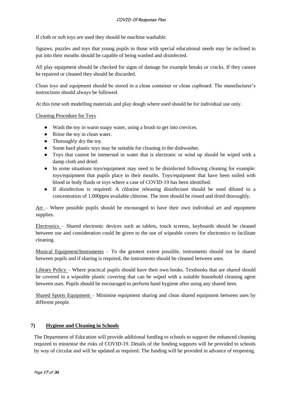If cloth or soft toys are used they should be machine washable.

Jigsaws, puzzles and toys that young pupils to those with special educational needs may be inclined to put into their mouths should be capable of being washed and disinfected.

All play equipment should be checked for signs of damage for example breaks or cracks. If they cannot be repaired or cleaned they should be discarded.

Clean toys and equipment should be stored in a clean container or clean cupboard. The manufacturer's instructions should always be followed.

At this time soft modelling materials and play dough where used should be for individual use only.

Cleaning Procedure for Toys

- Wash the toy in warm soapy water, using a brush to get into crevices.
- Rinse the toy in clean water.
- Thoroughly dry the toy.
- Some hard plastic toys may be suitable for cleaning in the dishwasher.
- Toys that cannot be immersed in water that is electronic or wind up should be wiped with a damp cloth and dried.
- In some situations toys/equipment may need to be disinfected following cleaning for example: toys/equipment that pupils place in their mouths. Toys/equipment that have been soiled with blood or body fluids or toys where a case of COVID-19 has been identified.
- If disinfection is required: A chlorine releasing disinfectant should be used diluted to a concentration of 1,000ppm available chlorine. The item should be rinsed and dried thoroughly.

Art – Where possible pupils should be encouraged to have their own individual art and equipment supplies.

Electronics – Shared electronic devices such as tablets, touch screens, keyboards should be cleaned between use and consideration could be given to the use of wipeable covers for electronics to facilitate cleaning.

Musical Equipment/Instruments – To the greatest extent possible, instruments should not be shared between pupils and if sharing is required, the instruments should be cleaned between uses.

Library Policy – Where practical pupils should have their own books. Textbooks that are shared should be covered in a wipeable plastic covering that can be wiped with a suitable household cleaning agent between uses. Pupils should be encouraged to perform hand hygiene after using any shared item.

Shared Sports Equipment – Minimise equipment sharing and clean shared equipment between uses by different people.

#### **7) Hygiene and Cleaning in Schools**

The Department of Education will provide additional funding to schools to support the enhanced cleaning required to minimise the risks of COVID-19. Details of the funding supports will be provided to schools by way of circular and will be updated as required. The funding will be provided in advance of reopening.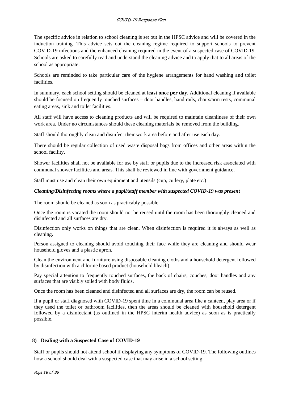#### COVID-19 Response Plan

The specific advice in relation to school cleaning is set out in the HPSC advice and will be covered in the induction training. This advice sets out the cleaning regime required to support schools to prevent COVID-19 infections and the enhanced cleaning required in the event of a suspected case of COVID-19. Schools are asked to carefully read and understand the cleaning advice and to apply that to all areas of the school as appropriate.

Schools are reminded to take particular care of the hygiene arrangements for hand washing and toilet facilities.

In summary, each school setting should be cleaned at **least once per day**. Additional cleaning if available should be focused on frequently touched surfaces – door handles, hand rails, chairs/arm rests, communal eating areas, sink and toilet facilities.

All staff will have access to cleaning products and will be required to maintain cleanliness of their own work area. Under no circumstances should these cleaning materials be removed from the building.

Staff should thoroughly clean and disinfect their work area before and after use each day.

There should be regular collection of used waste disposal bags from offices and other areas within the school facility**.** 

Shower facilities shall not be available for use by staff or pupils due to the increased risk associated with communal shower facilities and areas. This shall be reviewed in line with government guidance.

Staff must use and clean their own equipment and utensils (cup, cutlery, plate etc.)

#### *Cleaning/Disinfecting rooms where a pupil/staff member with suspected COVID-19 was present*

The room should be cleaned as soon as practicably possible.

Once the room is vacated the room should not be reused until the room has been thoroughly cleaned and disinfected and all surfaces are dry.

Disinfection only works on things that are clean. When disinfection is required it is always as well as cleaning.

Person assigned to cleaning should avoid touching their face while they are cleaning and should wear household gloves and a plastic apron.

Clean the environment and furniture using disposable cleaning cloths and a household detergent followed by disinfection with a chlorine based product (household bleach).

Pay special attention to frequently touched surfaces, the back of chairs, couches, door handles and any surfaces that are visibly soiled with body fluids.

Once the room has been cleaned and disinfected and all surfaces are dry, the room can be reused.

If a pupil or staff diagnosed with COVID-19 spent time in a communal area like a canteen, play area or if they used the toilet or bathroom facilities, then the areas should be cleaned with household detergent followed by a disinfectant (as outlined in the HPSC interim health advice) as soon as is practically possible.

#### **8) Dealing with a Suspected Case of COVID-19**

Staff or pupils should not attend school if displaying any symptoms of COVID-19. The following outlines how a school should deal with a suspected case that may arise in a school setting.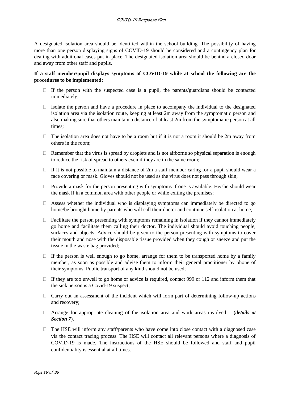A designated isolation area should be identified within the school building. The possibility of having more than one person displaying signs of COVID-19 should be considered and a contingency plan for dealing with additional cases put in place. The designated isolation area should be behind a closed door and away from other staff and pupils.

#### **If a staff member/pupil displays symptoms of COVID-19 while at school the following are the procedures to be implemented:**

- $\Box$  If the person with the suspected case is a pupil, the parents/guardians should be contacted immediately;
- $\Box$  Isolate the person and have a procedure in place to accompany the individual to the designated isolation area via the isolation route, keeping at least 2m away from the symptomatic person and also making sure that others maintain a distance of at least 2m from the symptomatic person at all times;
- $\Box$  The isolation area does not have to be a room but if it is not a room it should be 2m away from others in the room;
- $\Box$  Remember that the virus is spread by droplets and is not airborne so physical separation is enough to reduce the risk of spread to others even if they are in the same room;
- $\Box$  If it is not possible to maintain a distance of 2m a staff member caring for a pupil should wear a face covering or mask. Gloves should not be used as the virus does not pass through skin;
- $\Box$  Provide a mask for the person presenting with symptoms if one is available. He/she should wear the mask if in a common area with other people or while exiting the premises;
- $\Box$  Assess whether the individual who is displaying symptoms can immediately be directed to go home/be brought home by parents who will call their doctor and continue self-isolation at home;
- $\Box$  Facilitate the person presenting with symptoms remaining in isolation if they cannot immediately go home and facilitate them calling their doctor. The individual should avoid touching people, surfaces and objects. Advice should be given to the person presenting with symptoms to cover their mouth and nose with the disposable tissue provided when they cough or sneeze and put the tissue in the waste bag provided;
- $\Box$  If the person is well enough to go home, arrange for them to be transported home by a family member, as soon as possible and advise them to inform their general practitioner by phone of their symptoms. Public transport of any kind should not be used;
- $\Box$  If they are too unwell to go home or advice is required, contact 999 or 112 and inform them that the sick person is a Covid-19 suspect;
- $\Box$  Carry out an assessment of the incident which will form part of determining follow-up actions and recovery;
- ⮚ Arrange for appropriate cleaning of the isolation area and work areas involved (*details at Section 7*).
- $\Box$  The HSE will inform any staff/parents who have come into close contact with a diagnosed case via the contact tracing process. The HSE will contact all relevant persons where a diagnosis of COVID-19 is made. The instructions of the HSE should be followed and staff and pupil confidentiality is essential at all times.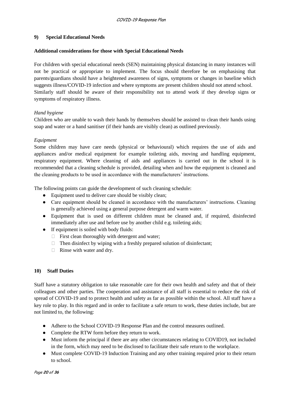#### **9) Special Educational Needs**

#### **Additional considerations for those with Special Educational Needs**

For children with special educational needs (SEN) maintaining physical distancing in many instances will not be practical or appropriate to implement. The focus should therefore be on emphasising that parents/guardians should have a heightened awareness of signs, symptoms or changes in baseline which suggests illness/COVID-19 infection and where symptoms are present children should not attend school. Similarly staff should be aware of their responsibility not to attend work if they develop signs or symptoms of respiratory illness.

# *Hand hygiene*

Children who are unable to wash their hands by themselves should be assisted to clean their hands using soap and water or a hand sanitiser (if their hands are visibly clean) as outlined previously.

#### *Equipment*

Some children may have care needs (physical or behavioural) which requires the use of aids and appliances and/or medical equipment for example toileting aids, moving and handling equipment, respiratory equipment. Where cleaning of aids and appliances is carried out in the school it is recommended that a cleaning schedule is provided, detailing when and how the equipment is cleaned and the cleaning products to be used in accordance with the manufacturers' instructions.

The following points can guide the development of such cleaning schedule:

- Equipment used to deliver care should be visibly clean;
- Care equipment should be cleaned in accordance with the manufacturers' instructions. Cleaning is generally achieved using a general purpose detergent and warm water.
- Equipment that is used on different children must be cleaned and, if required, disinfected immediately after use and before use by another child e.g. toileting aids;
- If equipment is soiled with body fluids:
	- $\Box$  First clean thoroughly with detergent and water;
	- $\Box$  Then disinfect by wiping with a freshly prepared solution of disinfectant;
	- $\Box$  Rinse with water and dry.

# **10) Staff Duties**

Staff have a statutory obligation to take reasonable care for their own health and safety and that of their colleagues and other parties. The cooperation and assistance of all staff is essential to reduce the risk of spread of COVID-19 and to protect health and safety as far as possible within the school. All staff have a key role to play. In this regard and in order to facilitate a safe return to work, these duties include, but are not limited to, the following:

- Adhere to the School COVID-19 Response Plan and the control measures outlined.
- Complete the RTW form before they return to work.
- Must inform the principal if there are any other circumstances relating to COVID19, not included in the form, which may need to be disclosed to facilitate their safe return to the workplace.
- Must complete COVID-19 Induction Training and any other training required prior to their return to school.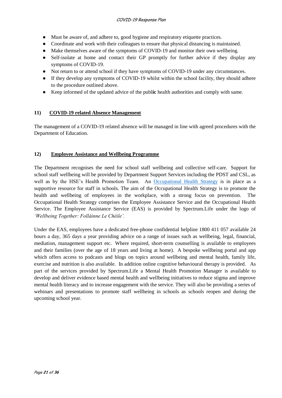- Must be aware of, and adhere to, good hygiene and respiratory etiquette practices.
- Coordinate and work with their colleagues to ensure that physical distancing is maintained.
- Make themselves aware of the symptoms of COVID-19 and monitor their own wellbeing.
- Self-isolate at home and contact their GP promptly for further advice if they display any symptoms of COVID-19.
- Not return to or attend school if they have symptoms of COVID-19 under any circumstances.
- If they develop any symptoms of COVID-19 whilst within the school facility, they should adhere to the procedure outlined above.
- Keep informed of the updated advice of the publ**ic** health authorities and comply with same.

# **11) COVID-19 related Absence Management**

The management of a COVID-19 related absence will be managed in line with agreed procedures with the Department of Education.

# **12) Employee Assistance and Wellbeing Programme**

The Department recognises the need for school staff wellbeing and collective self-care. Support for school staff wellbeing will be provided by Department Support Services including the PDST and CSL, as well as by the HSE's Health Promotion Team. An [Occupational Health Strategy](https://www.education.ie/en/Education-Staff/Information/Occupational-Health-Strategy/) is in place as a supportive resource for staff in schools. The aim of the Occupational Health Strategy is to promote the health and wellbeing of employees in the workplace, with a strong focus on prevention. The Occupational Health Strategy comprises the Employee Assistance Service and the Occupational Health Service. The Employee Assistance Service (EAS) is provided by Spectrum.Life under the logo of *'Wellbeing Together: Folláinne Le Chéile'.* 

Under the EAS, employees have a dedicated free-phone confidential helpline 1800 411 057 available 24 hours a day, 365 days a year providing advice on a range of issues such as wellbeing, legal, financial, mediation, management support etc. Where required, short-term counselling is available to employees and their families (over the age of 18 years and living at home). A bespoke wellbeing portal and app which offers access to podcasts and blogs on topics around wellbeing and mental health, family life, exercise and nutrition is also available. In addition online cognitive behavioural therapy is provided. As part of the services provided by Spectrum.Life a Mental Health Promotion Manager is available to develop and deliver evidence based mental health and wellbeing initiatives to reduce stigma and improve mental health literacy and to increase engagement with the service. They will also be providing a series of webinars and presentations to promote staff wellbeing in schools as schools reopen and during the upcoming school year.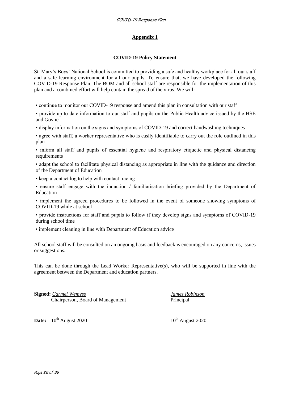# **Appendix 1**

#### **COVID-19 Policy Statement**

St. Mary's Boys' National School is committed to providing a safe and healthy workplace for all our staff and a safe learning environment for all our pupils. To ensure that, we have developed the following COVID-19 Response Plan. The BOM and all school staff are responsible for the implementation of this plan and a combined effort will help contain the spread of the virus. We will:

• continue to monitor our COVID-19 response and amend this plan in consultation with our staff

• provide up to date information to our staff and pupils on the Public Health advice issued by the HSE and Gov.ie

• display information on the signs and symptoms of COVID-19 and correct handwashing techniques

• agree with staff, a worker representative who is easily identifiable to carry out the role outlined in this plan

• inform all staff and pupils of essential hygiene and respiratory etiquette and physical distancing requirements

• adapt the school to facilitate physical distancing as appropriate in line with the guidance and direction of the Department of Education

• keep a contact log to help with contact tracing

• ensure staff engage with the induction / familiarisation briefing provided by the Department of Education

• implement the agreed procedures to be followed in the event of someone showing symptoms of COVID-19 while at school

• provide instructions for staff and pupils to follow if they develop signs and symptoms of COVID-19 during school time

• implement cleaning in line with Department of Education advice

All school staff will be consulted on an ongoing basis and feedback is encouraged on any concerns, issues or suggestions.

This can be done through the Lead Worker Representative(s), who will be supported in line with the agreement between the Department and education partners.

**Signed:** *Carmel Wemyss James Robinson* Chairperson, Board of Management Principal

**Date:**  $10^{th}$  August 2020 10<sup>th</sup> August 2020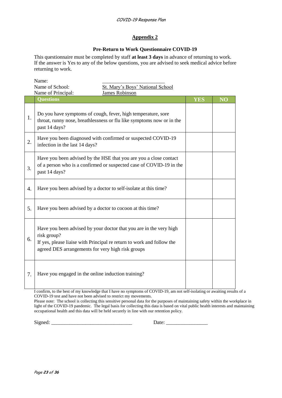### **Appendix 2**

# **Pre-Return to Work Questionnaire COVID-19**

This questionnaire must be completed by staff **at least 3 days** in advance of returning to work. If the answer is Yes to any of the below questions, you are advised to seek medical advice before returning to work.

|    | Name:                                                                                                                                                                                                           |            |           |
|----|-----------------------------------------------------------------------------------------------------------------------------------------------------------------------------------------------------------------|------------|-----------|
|    | St. Mary's Boys' National School<br>Name of School:                                                                                                                                                             |            |           |
|    | <b>James Robinson</b><br>Name of Principal:                                                                                                                                                                     |            |           |
|    | <b>Questions</b>                                                                                                                                                                                                | <b>YES</b> | <b>NO</b> |
| 1. | Do you have symptoms of cough, fever, high temperature, sore<br>throat, runny nose, breathlessness or flu like symptoms now or in the<br>past 14 days?                                                          |            |           |
| 2. | Have you been diagnosed with confirmed or suspected COVID-19<br>infection in the last 14 days?                                                                                                                  |            |           |
| 3. | Have you been advised by the HSE that you are you a close contact<br>of a person who is a confirmed or suspected case of COVID-19 in the<br>past 14 days?                                                       |            |           |
| 4. | Have you been advised by a doctor to self-isolate at this time?                                                                                                                                                 |            |           |
| 5. | Have you been advised by a doctor to cocoon at this time?                                                                                                                                                       |            |           |
| 6. | Have you been advised by your doctor that you are in the very high<br>risk group?<br>If yes, please liaise with Principal re return to work and follow the<br>agreed DES arrangements for very high risk groups |            |           |
| 7. | Have you engaged in the online induction training?                                                                                                                                                              |            |           |
|    |                                                                                                                                                                                                                 |            |           |

I confirm, to the best of my knowledge that I have no symptoms of COVID-19, am not self-isolating or awaiting results of a COVID-19 test and have not been advised to restrict my movements.

Please note: The school is collecting this sensitive personal data for the purposes of maintaining safety within the workplace in light of the COVID-19 pandemic. The legal basis for collecting this data is based on vital public health interests and maintaining occupational health and this data will be held securely in line with our retention policy.

Signed:  $\Box$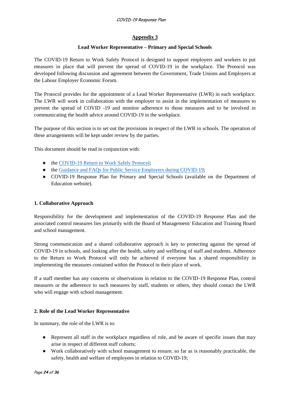#### COVID-19 Response Plan

# **Appendix 3**

# **Lead Worker Representative – Primary and Special Schools**

The COVID-19 Return to Work Safely Protocol is designed to support employers and workers to put measures in place that will prevent the spread of COVID-19 in the workplace. The Protocol was developed following discussion and agreement between the Government, Trade Unions and Employers at the Labour Employer Economic Forum.

The Protocol provides for the appointment of a Lead Worker Representative (LWR) in each workplace. The LWR will work in collaboration with the employer to assist in the implementation of measures to prevent the spread of COVID -19 and monitor adherence to those measures and to be involved in communicating the health advice around COVID-19 in the workplace.

The purpose of this section is to set out the provisions in respect of the LWR in schools. The operation of these arrangements will be kept under review by the parties.

This document should be read in conjunction with:

- the [COVID-19 Return to Work Safely Protocol;](https://www.gov.ie/en/publication/22829a-return-to-work-safely-protocol/)
- the [Guidance and FAQs for Public Service Employers during COVID-19;](https://www.gov.ie/en/news/092fff-update-on-working-arrangements-and-leave-associated-with-covid-19-fo/)
- COVID-19 Response Plan for Primary and Special Schools (available on the Department of Education website).

#### **1. Collaborative Approach**

Responsibility for the development and implementation of the COVID-19 Response Plan and the associated control measures lies primarily with the Board of Management/ Education and Training Board and school management.

Strong communication and a shared collaborative approach is key to protecting against the spread of COVID-19 in schools, and looking after the health, safety and wellbeing of staff and students. Adherence to the Return to Work Protocol will only be achieved if everyone has a shared responsibility in implementing the measures contained within the Protocol in their place of work.

If a staff member has any concerns or observations in relation to the COVID-19 Response Plan, control measures or the adherence to such measures by staff, students or others, they should contact the LWR who will engage with school management.

# **2. Role of the Lead Worker Representative**

In summary, the role of the LWR is to:

- Represent all staff in the workplace regardless of role, and be aware of specific issues that may arise in respect of different staff cohorts;
- Work collaboratively with school management to ensure, so far as is reasonably practicable, the safety, health and welfare of employees in relation to COVID-19;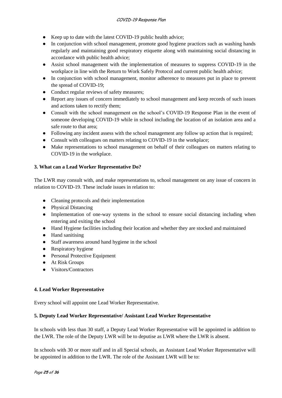- Keep up to date with the latest COVID-19 public health advice;
- In conjunction with school management, promote good hygiene practices such as washing hands regularly and maintaining good respiratory etiquette along with maintaining social distancing in accordance with public health advice;
- Assist school management with the implementation of measures to suppress COVID-19 in the workplace in line with the Return to Work Safely Protocol and current public health advice;
- In conjunction with school management, monitor adherence to measures put in place to prevent the spread of COVID-19;
- Conduct regular reviews of safety measures;
- Report any issues of concern immediately to school management and keep records of such issues and actions taken to rectify them;
- Consult with the school management on the school's COVID-19 Response Plan in the event of someone developing COVID-19 while in school including the location of an isolation area and a safe route to that area;
- Following any incident assess with the school management any follow up action that is required;
- Consult with colleagues on matters relating to COVID-19 in the workplace;
- Make representations to school management on behalf of their colleagues on matters relating to COVID-19 in the workplace.

# **3. What can a Lead Worker Representative Do?**

The LWR may consult with, and make representations to, school management on any issue of concern in relation to COVID-19. These include issues in relation to:

- Cleaning protocols and their implementation
- Physical Distancing
- Implementation of one-way systems in the school to ensure social distancing including when entering and exiting the school
- Hand Hygiene facilities including their location and whether they are stocked and maintained
- Hand sanitising
- Staff awareness around hand hygiene in the school
- Respiratory hygiene
- Personal Protective Equipment
- At Risk Groups
- Visitors/Contractors

# **4. Lead Worker Representative**

Every school will appoint one Lead Worker Representative.

# **5. Deputy Lead Worker Representative/ Assistant Lead Worker Representative**

In schools with less than 30 staff, a Deputy Lead Worker Representative will be appointed in addition to the LWR. The role of the Deputy LWR will be to deputise as LWR where the LWR is absent.

In schools with 30 or more staff and in all Special schools, an Assistant Lead Worker Representative will be appointed in addition to the LWR. The role of the Assistant LWR will be to: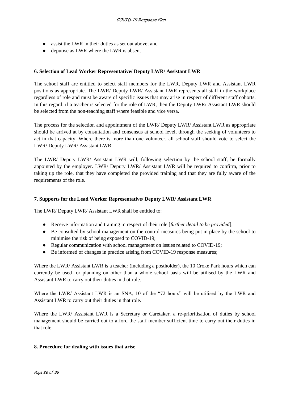- assist the LWR in their duties as set out above; and
- deputise as LWR where the LWR is absent

#### **6. Selection of Lead Worker Representative/ Deputy LWR/ Assistant LWR**

The school staff are entitled to select staff members for the LWR, Deputy LWR and Assistant LWR positions as appropriate. The LWR/ Deputy LWR/ Assistant LWR represents all staff in the workplace regardless of role and must be aware of specific issues that may arise in respect of different staff cohorts. In this regard, if a teacher is selected for the role of LWR, then the Deputy LWR/ Assistant LWR should be selected from the non-teaching staff where feasible and vice versa.

The process for the selection and appointment of the LWR/ Deputy LWR/ Assistant LWR as appropriate should be arrived at by consultation and consensus at school level, through the seeking of volunteers to act in that capacity. Where there is more than one volunteer, all school staff should vote to select the LWR/ Deputy LWR/ Assistant LWR.

The LWR/ Deputy LWR/ Assistant LWR will, following selection by the school staff, be formally appointed by the employer. LWR/ Deputy LWR/ Assistant LWR will be required to confirm, prior to taking up the role, that they have completed the provided training and that they are fully aware of the requirements of the role.

#### **7. Supports for the Lead Worker Representative/ Deputy LWR/ Assistant LWR**

The LWR/ Deputy LWR/ Assistant LWR shall be entitled to:

- Receive information and training in respect of their role [*further detail to be provided*];
- Be consulted by school management on the control measures being put in place by the school to minimise the risk of being exposed to COVID-19;
- Regular communication with school management on issues related to COVID-19;
- Be informed of changes in practice arising from COVID-19 response measures;

Where the LWR/ Assistant LWR is a teacher (including a postholder), the 10 Croke Park hours which can currently be used for planning on other than a whole school basis will be utilised by the LWR and Assistant LWR to carry out their duties in that role.

Where the LWR/ Assistant LWR is an SNA, 10 of the "72 hours" will be utilised by the LWR and Assistant LWR to carry out their duties in that role.

Where the LWR/ Assistant LWR is a Secretary or Caretaker, a re-prioritisation of duties by school management should be carried out to afford the staff member sufficient time to carry out their duties in that role.

#### **8. Procedure for dealing with issues that arise**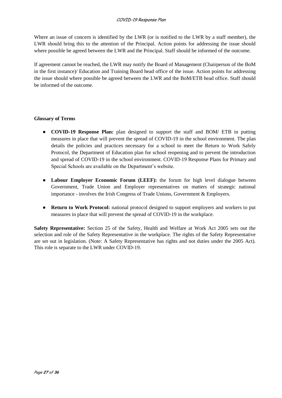#### COVID-19 Response Plan

Where an issue of concern is identified by the LWR (or is notified to the LWR by a staff member), the LWR should bring this to the attention of the Principal. Action points for addressing the issue should where possible be agreed between the LWR and the Principal. Staff should be informed of the outcome.

If agreement cannot be reached, the LWR may notify the Board of Management (Chairperson of the BoM in the first instance)/ Education and Training Board head office of the issue. Action points for addressing the issue should where possible be agreed between the LWR and the BoM/ETB head office. Staff should be informed of the outcome.

#### **Glossary of Terms**

- **COVID-19 Response Plan:** plan designed to support the staff and BOM/ ETB in putting measures in place that will prevent the spread of COVID-19 in the school environment. The plan details the policies and practices necessary for a school to meet the Return to Work Safely Protocol, the Department of Education plan for school reopening and to prevent the introduction and spread of COVID-19 in the school environment. COVID-19 Response Plans for Primary and Special Schools are available on the Department's website.
- **Labour Employer Economic Forum (LEEF):** the forum for high level dialogue between Government, Trade Union and Employer representatives on matters of strategic national importance - involves the Irish Congress of Trade Unions, Government & Employers.
- **Return to Work Protocol:** national protocol designed to support employers and workers to put measures in place that will prevent the spread of COVID-19 in the workplace.

**Safety Representative:** Section 25 of the Safety, Health and Welfare at Work Act 2005 sets out the selection and role of the Safety Representative in the workplace. The rights of the Safety Representative are set out in legislation. (Note: A Safety Representative has rights and not duties under the 2005 Act). This role is separate to the LWR under COVID-19.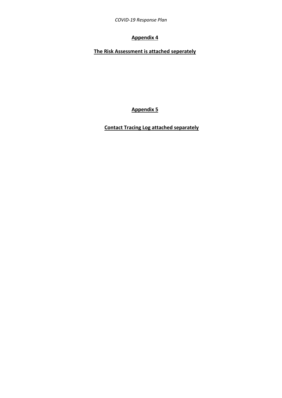*COVID-19 Response Plan*

# **Appendix 4**

**The Risk Assessment is attached seperately**

**Appendix 5**

**Contact Tracing Log attached separately**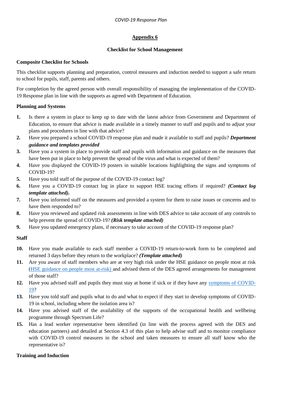# **Appendix 6**

# **Checklist for School Management**

# **Composite Checklist for Schools**

This checklist supports planning and preparation, control measures and induction needed to support a safe return to school for pupils, staff, parents and others.

For completion by the agreed person with overall responsibility of managing the implementation of the COVID-19 Response plan in line with the supports as agreed with Department of Education.

# **Planning and Systems**

- **1.** Is there a system in place to keep up to date with the latest advice from Government and Department of Education, to ensure that advice is made available in a timely manner to staff and pupils and to adjust your plans and procedures in line with that advice?
- **2.** Have you prepared a school COVID-19 response plan and made it available to staff and pupils? *Department guidance and templates provided*
- **3.** Have you a system in place to provide staff and pupils with information and guidance on the measures that have been put in place to help prevent the spread of the virus and what is expected of them?
- **4.** Have you displayed the COVID-19 posters in suitable locations highlighting the signs and symptoms of COVID-19?
- **5.** Have you told staff of the purpose of the COVID-19 contact log?
- **6.** Have you a COVID-19 contact log in place to support HSE tracing efforts if required? *(Contact log template attached).*
- **7.** Have you informed staff on the measures and provided a system for them to raise issues or concerns and to have them responded to?
- **8.** Have you reviewed and updated risk assessments in line with DES advice to take account of any controls to help prevent the spread of COVID-19? *(Risk template attached)*
- **9.** Have you updated emergency plans, if necessary to take account of the COVID-19 response plan?

# **Staff**

- **10.** Have you made available to each staff member a COVID-19 return-to-work form to be completed and returned 3 days before they return to the workplace? *(Template attached)*
- **11.** Are you aware of staff members who are at very high risk under the HSE guidance on people most at risk [\(HSE guidance on people most at-risk\)](https://www2.hse.ie/conditions/coronavirus/people-at-higher-risk.html) and advised them of the DES agreed arrangements for management of those staff?
- **12.** Have you advised staff and pupils they must stay at home if sick or if they have any [symptoms of COVID-](https://www2.hse.ie/conditions/coronavirus/symptoms.html)[19?](https://www2.hse.ie/conditions/coronavirus/symptoms.html)
- **13.** Have you told staff and pupils what to do and what to expect if they start to develop symptoms of COVID-19 in school, including where the isolation area is?
- **14.** Have you advised staff of the availability of the supports of the occupational health and wellbeing programme through Spectrum Life?
- **15.** Has a lead worker representative been identified (in line with the process agreed with the DES and education partners) and detailed at Section 4.3 of this plan to help advise staff and to monitor compliance with COVID-19 control measures in the school and taken measures to ensure all staff know who the representative is?

# **Training and Induction**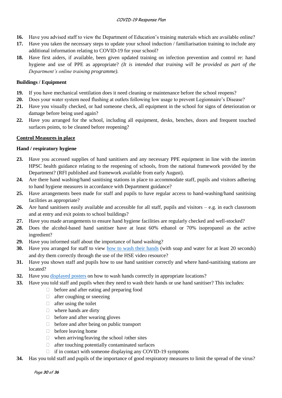- **16.** Have you advised staff to view the Department of Education's training materials which are available online?
- **17.** Have you taken the necessary steps to update your school induction / familiarisation training to include any additional information relating to COVID-19 for your school?
- **18.** Have first aiders, if available, been given updated training on infection prevention and control re: hand hygiene and use of PPE as appropriate? *(It is intended that training will be provided as part of the Department's online training programme).*

# **Buildings / Equipment**

- **19.** If you have mechanical ventilation does it need cleaning or maintenance before the school reopens?
- **20.** Does your water system need flushing at outlets following low usage to prevent Legionnaire's Disease?
- **21.** Have you visually checked, or had someone check, all equipment in the school for signs of deterioration or damage before being used again?
- **22.** Have you arranged for the school, including all equipment, desks, benches, doors and frequent touched surfaces points, to be cleaned before reopening?

# **Control Measures in place**

# **Hand / respiratory hygiene**

- **23.** Have you accessed supplies of hand sanitisers and any necessary PPE equipment in line with the interim HPSC health guidance relating to the reopening of schools, from the national framework provided by the Department? (RFI published and framework available from early August).
- **24.** Are there hand washing/hand sanitising stations in place to accommodate staff, pupils and visitors adhering to hand hygiene measures in accordance with Department guidance?
- **25.** Have arrangements been made for staff and pupils to have regular access to hand-washing/hand sanitising facilities as appropriate?
- **26.** Are hand sanitisers easily available and accessible for all staff, pupils and visitors e.g. in each classroom and at entry and exit points to school buildings?
- **27.** Have you made arrangements to ensure hand hygiene facilities are regularly checked and well-stocked?
- **28.** Does the alcohol-based hand sanitiser have at least 60% ethanol or 70% isopropanol as the active ingredient?
- **29.** Have you informed staff about the importance of hand washing?
- **30.** Have you arranged for staff to view <u>how to wash their hands</u> (with soap and water for at least 20 seconds) and dry them correctly through the use of the HSE video resource?
- **31.** Have you shown staff and pupils how to use hand sanitiser correctly and where hand-sanitising stations are located?
- **32.** Have you [displayed posters](https://www.gov.ie/en/collection/ee0781-covid-19-posters-for-public-use/) on how to wash hands correctly in appropriate locations?
- **33.** Have you told staff and pupils when they need to wash their hands or use hand sanitiser? This includes:
	- $\Box$  before and after eating and preparing food
	- $\Box$  after coughing or sneezing
	- $\Box$  after using the toilet
	- $\Box$  where hands are dirty
	- $\Box$  before and after wearing gloves
	- $\Box$  before and after being on public transport
	- $\Box$  before leaving home
	- $\Box$  when arriving/leaving the school /other sites
	- $\Box$  after touching potentially contaminated surfaces
	- $\Box$  if in contact with someone displaying any COVID-19 symptoms
- **34.** Has you told staff and pupils of the importance of good respiratory measures to limit the spread of the virus?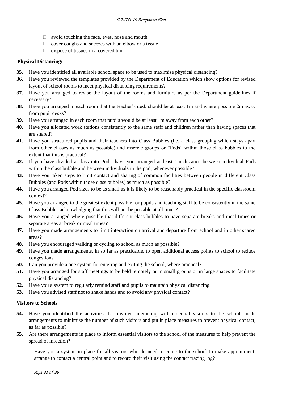- $\Box$  avoid touching the face, eyes, nose and mouth
- $\Box$  cover coughs and sneezes with an elbow or a tissue
- $\Box$  dispose of tissues in a covered bin

#### **Physical Distancing:**

- **35.** Have you identified all available school space to be used to maximise physical distancing?
- **36.** Have you reviewed the templates provided by the Department of Education which show options for revised layout of school rooms to meet physical distancing requirements?
- **37.** Have you arranged to revise the layout of the rooms and furniture as per the Department guidelines if necessary?
- **38.** Have you arranged in each room that the teacher's desk should be at least 1m and where possible 2m away from pupil desks?
- **39.** Have you arranged in each room that pupils would be at least 1m away from each other?
- **40.** Have you allocated work stations consistently to the same staff and children rather than having spaces that are shared?
- **41.** Have you structured pupils and their teachers into Class Bubbles (i.e. a class grouping which stays apart from other classes as much as possible) and discrete groups or "Pods" within those class bubbles to the extent that this is practical?
- **42.** If you have divided a class into Pods, have you arranged at least 1m distance between individual Pods within the class bubble and between individuals in the pod, whenever possible?
- **43.** Have you taken steps to limit contact and sharing of common facilities between people in different Class Bubbles (and Pods within those class bubbles) as much as possible?
- **44.** Have you arranged Pod sizes to be as small as it is likely to be reasonably practical in the specific classroom context?
- **45.** Have you arranged to the greatest extent possible for pupils and teaching staff to be consistently in the same Class Bubbles acknowledging that this will not be possible at all times?
- **46.** Have you arranged where possible that different class bubbles to have separate breaks and meal times or separate areas at break or meal times?
- **47.** Have you made arrangements to limit interaction on arrival and departure from school and in other shared areas?
- **48.** Have you encouraged walking or cycling to school as much as possible?
- **49.** Have you made arrangements, in so far as practicable, to open additional access points to school to reduce congestion?
- **50.** Can you provide a one system for entering and exiting the school, where practical?
- **51.** Have you arranged for staff meetings to be held remotely or in small groups or in large spaces to facilitate physical distancing?
- **52.** Have you a system to regularly remind staff and pupils to maintain physical distancing
- **53.** Have you advised staff not to shake hands and to avoid any physical contact?

#### **Visitors to Schools**

- **54.** Have you identified the activities that involve interacting with essential visitors to the school, made arrangements to minimise the number of such visitors and put in place measures to prevent physical contact, as far as possible?
- **55.** Are there arrangements in place to inform essential visitors to the school of the measures to help prevent the spread of infection?

Have you a system in place for all visitors who do need to come to the school to make appointment, arrange to contact a central point and to record their visit using the contact tracing log?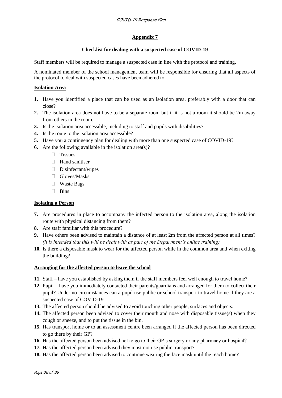#### **Appendix 7**

#### **Checklist for dealing with a suspected case of COVID-19**

Staff members will be required to manage a suspected case in line with the protocol and training.

A nominated member of the school management team will be responsible for ensuring that all aspects of the protocol to deal with suspected cases have been adhered to.

#### **Isolation Area**

- **1.** Have you identified a place that can be used as an isolation area, preferably with a door that can close?
- **2.** The isolation area does not have to be a separate room but if it is not a room it should be 2m away from others in the room.
- **3.** Is the isolation area accessible, including to staff and pupils with disabilities?
- **4.** Is the route to the isolation area accessible?
- **5.** Have you a contingency plan for dealing with more than one suspected case of COVID-19?
- **6.** Are the following available in the isolation area(s)?
	- **⮚** Tissues
	- **⮚** Hand sanitiser
	- **⮚** Disinfectant/wipes
	- **⮚** Gloves/Masks
	- **⮚** Waste Bags
	- **⮚** Bins

#### **Isolating a Person**

- **7.** Are procedures in place to accompany the infected person to the isolation area, along the isolation route with physical distancing from them?
- **8.** Are staff familiar with this procedure?
- **9.** Have others been advised to maintain a distance of at least 2m from the affected person at all times? *(it is intended that this will be dealt with as part of the Department's online training)*
- **10.** Is there a disposable mask to wear for the affected person while in the common area and when exiting the building?

#### **Arranging for the affected person to leave the school**

- **11.** Staff have you established by asking them if the staff members feel well enough to travel home?
- **12.** Pupil have you immediately contacted their parents/guardians and arranged for them to collect their pupil? Under no circumstances can a pupil use public or school transport to travel home if they are a suspected case of COVID-19.
- **13.** The affected person should be advised to avoid touching other people, surfaces and objects.
- **14.** The affected person been advised to cover their mouth and nose with disposable tissue(s) when they cough or sneeze, and to put the tissue in the bin.
- **15.** Has transport home or to an assessment centre been arranged if the affected person has been directed to go there by their GP?
- **16.** Has the affected person been advised not to go to their GP's surgery or any pharmacy or hospital?
- **17.** Has the affected person been advised they must not use public transport?
- **18.** Has the affected person been advised to continue wearing the face mask until the reach home?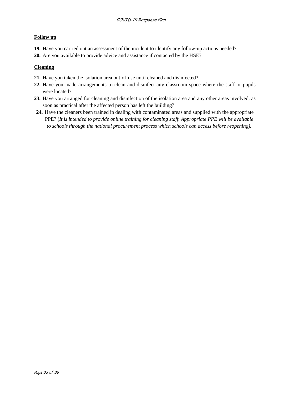# **Follow up**

- **19.** Have you carried out an assessment of the incident to identify any follow-up actions needed?
- **20.** Are you available to provide advice and assistance if contacted by the HSE?

# **Cleaning**

- **21.** Have you taken the isolation area out-of-use until cleaned and disinfected?
- **22.** Have you made arrangements to clean and disinfect any classroom space where the staff or pupils were located?
- **23.** Have you arranged for cleaning and disinfection of the isolation area and any other areas involved, as soon as practical after the affected person has left the building?
- **24.** Have the cleaners been trained in dealing with contaminated areas and supplied with the appropriate PPE? (*It is intended to provide online training for cleaning staff. Appropriate PPE will be available to schools through the national procurement process which schools can access before reopening).*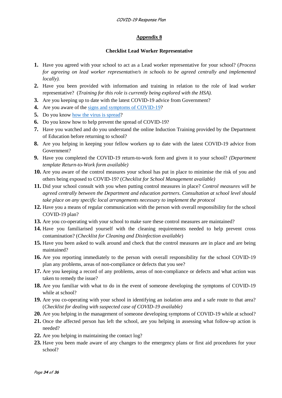# **Appendix 8**

#### **Checklist Lead Worker Representative**

- **1.** Have you agreed with your school to act as a Lead worker representative for your school? (*Process for agreeing on lead worker representative/s in schools to be agreed centrally and implemented locally).*
- **2.** Have you been provided with information and training in relation to the role of lead worker representative? (*Training for this role is currently being explored with the HSA).*
- **3.** Are you keeping up to date with the latest COVID-19 advice from Government?
- **4.** Are you aware of the [signs and symptoms of COVID-19?](https://www2.hse.ie/conditions/coronavirus/symptoms.html)
- **5.** Do you know [how the virus is spread?](https://www2.hse.ie/conditions/coronavirus/how-coronavirus-is-spread.html)
- **6.** Do you know how to help prevent the spread of COVID-19?
- **7.** Have you watched and do you understand the online Induction Training provided by the Department of Education before returning to school?
- **8.** Are you helping in keeping your fellow workers up to date with the latest COVID-19 advice from Government?
- **9.** Have you completed the COVID-19 return-to-work form and given it to your school? *(Department template Return-to-Work form available)*
- **10.** Are you aware of the control measures your school has put in place to minimise the risk of you and others being exposed to COVID-19? (*Checklist for School Management available)*
- **11.** Did your school consult with you when putting control measures in place? *Control measures will be agreed centrally between the Department and education partners. Consultation at school level should take place on any specific local arrangements necessary to implement the protocol*
- **12.** Have you a means of regular communication with the person with overall responsibility for the school COVID-19 plan?
- **13.** Are you co-operating with your school to make sure these control measures are maintained?
- **14.** Have you familiarised yourself with the cleaning requirements needed to help prevent cross contamination? (*Checklist for Cleaning and Disinfection available*)
- **15.** Have you been asked to walk around and check that the control measures are in place and are being maintained?
- **16.** Are you reporting immediately to the person with overall responsibility for the school COVID-19 plan any problems, areas of non-compliance or defects that you see?
- **17.** Are you keeping a record of any problems, areas of non-compliance or defects and what action was taken to remedy the issue?
- **18.** Are you familiar with what to do in the event of someone developing the symptoms of COVID-19 while at school?
- **19.** Are you co-operating with your school in identifying an isolation area and a safe route to that area? (*Checklist for dealing with suspected case of COVID-19 available)*
- **20.** Are you helping in the management of someone developing symptoms of COVID-19 while at school?
- **21.** Once the affected person has left the school, are you helping in assessing what follow-up action is needed?
- **22.** Are you helping in maintaining the contact log?
- **23.** Have you been made aware of any changes to the emergency plans or first aid procedures for your school?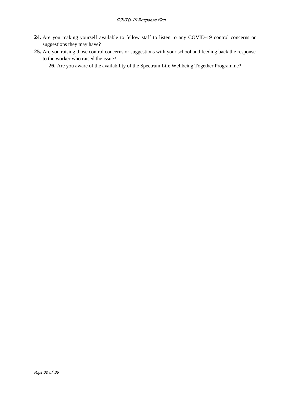#### COVID-19 Response Plan

- **24.** Are you making yourself available to fellow staff to listen to any COVID-19 control concerns or suggestions they may have?
- **25.** Are you raising those control concerns or suggestions with your school and feeding back the response to the worker who raised the issue?

**26.** Are you aware of the availability of the Spectrum Life Wellbeing Together Programme?